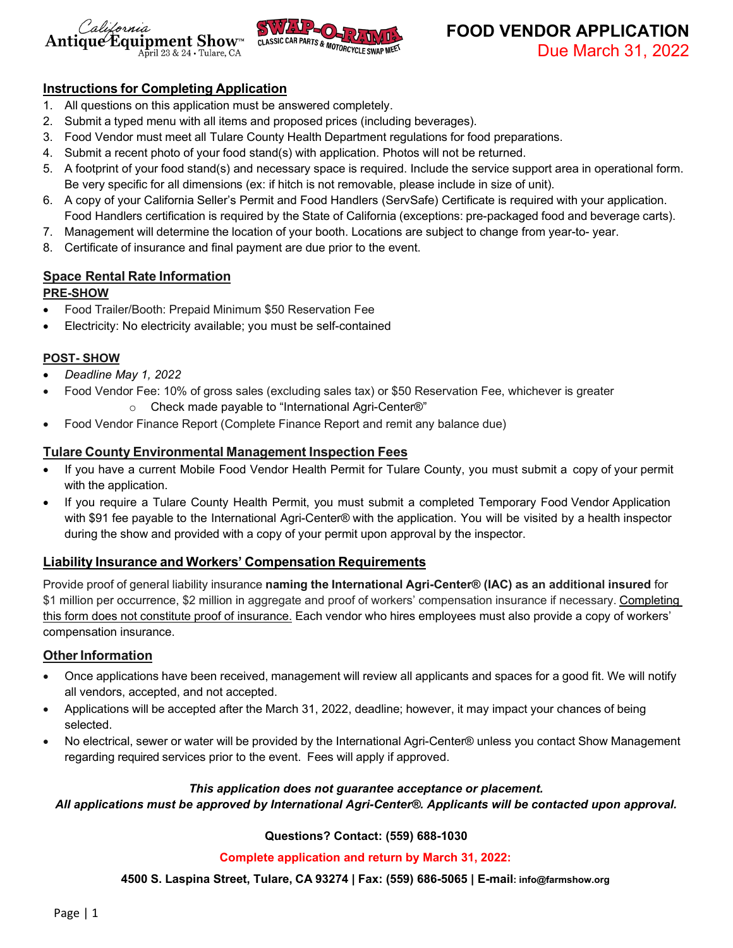



**FOOD VENDOR APPLICATION** Due March 31, 2022

## **Instructions for Completing Application**

- 1. All questions on this application must be answered completely.
- 2. Submit a typed menu with all items and proposed prices (including beverages).
- 3. Food Vendor must meet all Tulare County Health Department regulations for food preparations.
- 4. Submit a recent photo of your food stand(s) with application. Photos will not be returned.
- 5. A footprint of your food stand(s) and necessary space is required. Include the service support area in operational form. Be very specific for all dimensions (ex: if hitch is not removable, please include in size of unit).
- 6. A copy of your California Seller's Permit and Food Handlers (ServSafe) Certificate is required with your application. Food Handlers certification is required by the State of California (exceptions: pre-packaged food and beverage carts).
- 7. Management will determine the location of your booth. Locations are subject to change from year-to- year.
- 8. Certificate of insurance and final payment are due prior to the event.

# **Space Rental Rate Information**

### **PRE-SHOW**

- Food Trailer/Booth: Prepaid Minimum \$50 Reservation Fee
- Electricity: No electricity available; you must be self-contained

### **POST- SHOW**

- *Deadline May 1, 2022*
	- Food Vendor Fee: 10% of gross sales (excluding sales tax) or \$50 Reservation Fee, whichever is greater
		- o Check made payable to "International Agri-Center®"
- Food Vendor Finance Report (Complete Finance Report and remit any balance due)

## **Tulare County Environmental Management Inspection Fees**

- If you have a current Mobile Food Vendor Health Permit for Tulare County, you must submit a copy of your permit with the application.
- If you require a Tulare County Health Permit, you must submit a completed Temporary Food Vendor Application with \$91 fee payable to the International Agri-Center® with the application. You will be visited by a health inspector during the show and provided with a copy of your permit upon approval by the inspector.

## **Liability Insurance and Workers' Compensation Requirements**

Provide proof of general liability insurance **naming the International Agri-Center® (IAC) as an additional insured** for \$1 million per occurrence, \$2 million in aggregate and proof of workers' compensation insurance if necessary. Completing this form does not constitute proof of insurance. Each vendor who hires employees must also provide a copy of workers' compensation insurance.

## **Other Information**

- Once applications have been received, management will review all applicants and spaces for a good fit. We will notify all vendors, accepted, and not accepted.
- Applications will be accepted after the March 31, 2022, deadline; however, it may impact your chances of being selected.
- No electrical, sewer or water will be provided by the International Agri-Center® unless you contact Show Management regarding required services prior to the event. Fees will apply if approved.

#### *This application does not guarantee acceptance or placement.*

#### *All applications must be approved by International Agri-Center®. Applicants will be contacted upon approval.*

#### **Questions? Contact: (559) 688-1030**

#### **Complete application and return by March 31, 2022:**

**4500 S. Laspina Street, Tulare, CA 93274 | Fax: (559) 686-5065 | E-mail[: info@farmshow.org](mailto:info@farmshow.org)**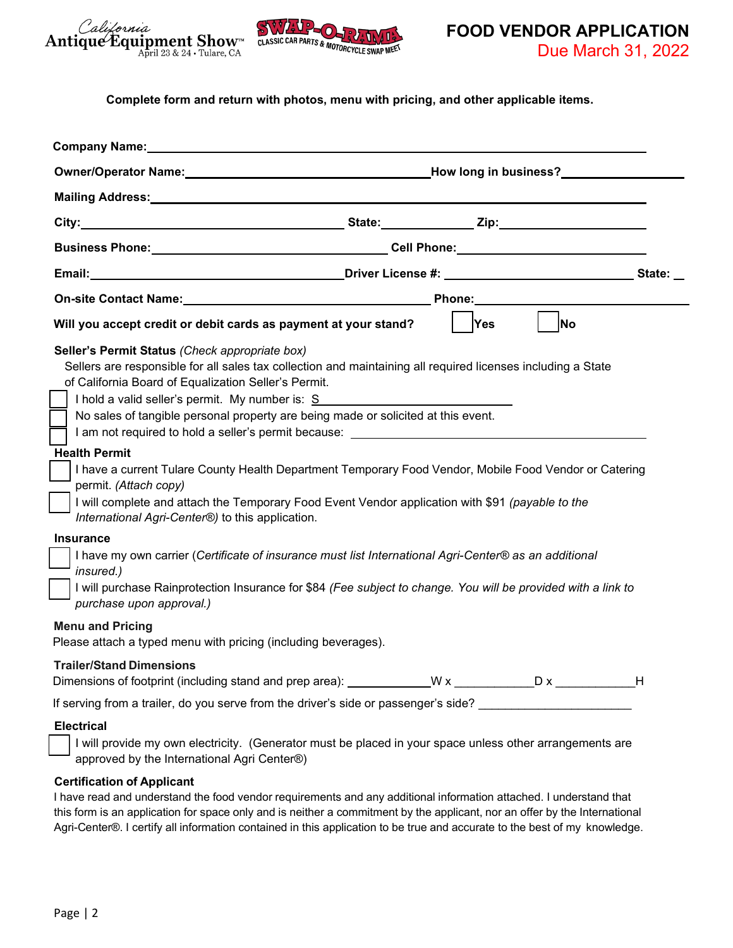



**FOOD VENDOR APPLICATION** Due March 31, 2022

**Complete form and return with photos, menu with pricing, and other applicable items.**

| <b>Company Name:</b> experience and the set of the set of the set of the set of the set of the set of the set of the set of the set of the set of the set of the set of the set of the set of the set of the set of the set of the             |                                                                                                                                                                                                                                |  |  |
|------------------------------------------------------------------------------------------------------------------------------------------------------------------------------------------------------------------------------------------------|--------------------------------------------------------------------------------------------------------------------------------------------------------------------------------------------------------------------------------|--|--|
|                                                                                                                                                                                                                                                |                                                                                                                                                                                                                                |  |  |
|                                                                                                                                                                                                                                                |                                                                                                                                                                                                                                |  |  |
|                                                                                                                                                                                                                                                |                                                                                                                                                                                                                                |  |  |
|                                                                                                                                                                                                                                                | Business Phone: New York Cell Phone: New York Cell Phone: New York Cell Phone:                                                                                                                                                 |  |  |
|                                                                                                                                                                                                                                                |                                                                                                                                                                                                                                |  |  |
| On-site Contact Name: Name: Name: Name of Second Second Second Second Second Second Second Second Second Second Second Second Second Second Second Second Second Second Second Second Second Second Second Second Second Secon                 | <b>Phone:</b>                                                                                                                                                                                                                  |  |  |
| Will you accept credit or debit cards as payment at your stand?                                                                                                                                                                                | No.<br>Yes\                                                                                                                                                                                                                    |  |  |
| Seller's Permit Status (Check appropriate box)<br>of California Board of Equalization Seller's Permit.<br>I hold a valid seller's permit. My number is: S<br>No sales of tangible personal property are being made or solicited at this event. | Sellers are responsible for all sales tax collection and maintaining all required licenses including a State<br>I am not required to hold a seller's permit because: Next and the seller than the seller summary of the seller |  |  |
| <b>Health Permit</b><br>permit. (Attach copy)<br>I will complete and attach the Temporary Food Event Vendor application with \$91 (payable to the<br>International Agri-Center®) to this application.                                          | I have a current Tulare County Health Department Temporary Food Vendor, Mobile Food Vendor or Catering                                                                                                                         |  |  |
| <b>Insurance</b><br>I have my own carrier (Certificate of insurance must list International Agri-Center® as an additional<br>insured.)<br>purchase upon approval.)                                                                             | I will purchase Rainprotection Insurance for \$84 (Fee subject to change. You will be provided with a link to                                                                                                                  |  |  |
| <b>Menu and Pricing</b><br>Please attach a typed menu with pricing (including beverages).                                                                                                                                                      |                                                                                                                                                                                                                                |  |  |
| <b>Trailer/Stand Dimensions</b>                                                                                                                                                                                                                |                                                                                                                                                                                                                                |  |  |
|                                                                                                                                                                                                                                                | If serving from a trailer, do you serve from the driver's side or passenger's side?                                                                                                                                            |  |  |
| <b>Electrical</b><br>approved by the International Agri Center®)                                                                                                                                                                               | I will provide my own electricity. (Generator must be placed in your space unless other arrangements are                                                                                                                       |  |  |
| <b>Certification of Applicant</b>                                                                                                                                                                                                              | I have read and understand the food vendor requirements and any additional information attached. I understand that                                                                                                             |  |  |

this form is an application for space only and is neither a commitment by the applicant, nor an offer by the International Agri-Center®. I certify all information contained in this application to be true and accurate to the best of my knowledge.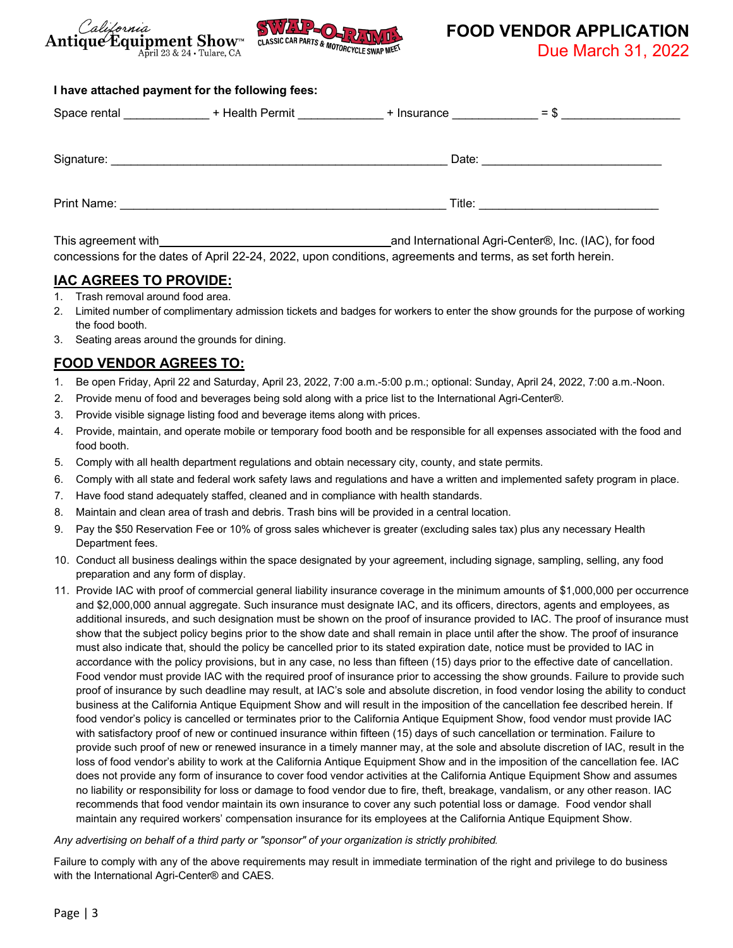



**FOOD VENDOR APPLICATION**

Due March 31, 2022

#### **I have attached payment for the following fees:**

| Space rental | + Health Permit | + Insurance | $=$ \$ |
|--------------|-----------------|-------------|--------|
|              |                 |             |        |
| Signature:   |                 | Date:       |        |
| Print Name:  |                 | Title:      |        |

This agreement with **and International Agri-Center®, Inc. (IAC)**, for food concessions for the dates of April 22-24, 2022, upon conditions, agreements and terms, as set forth herein.

## **IAC AGREES TO PROVIDE:**

- 1. Trash removal around food area.
- 2. Limited number of complimentary admission tickets and badges for workers to enter the show grounds for the purpose of working the food booth.
- 3. Seating areas around the grounds for dining.

# **FOOD VENDOR AGREES TO:**

- 1. Be open Friday, April 22 and Saturday, April 23, 2022, 7:00 a.m.-5:00 p.m.; optional: Sunday, April 24, 2022, 7:00 a.m.-Noon.
- 2. Provide menu of food and beverages being sold along with a price list to the International Agri-Center®.
- 3. Provide visible signage listing food and beverage items along with prices.
- 4. Provide, maintain, and operate mobile or temporary food booth and be responsible for all expenses associated with the food and food booth.
- 5. Comply with all health department regulations and obtain necessary city, county, and state permits.
- 6. Comply with all state and federal work safety laws and regulations and have a written and implemented safety program in place.
- 7. Have food stand adequately staffed, cleaned and in compliance with health standards.
- 8. Maintain and clean area of trash and debris. Trash bins will be provided in a central location.
- 9. Pay the \$50 Reservation Fee or 10% of gross sales whichever is greater (excluding sales tax) plus any necessary Health Department fees.
- 10. Conduct all business dealings within the space designated by your agreement, including signage, sampling, selling, any food preparation and any form of display.
- 11. Provide IAC with proof of commercial general liability insurance coverage in the minimum amounts of \$1,000,000 per occurrence and \$2,000,000 annual aggregate. Such insurance must designate IAC, and its officers, directors, agents and employees, as additional insureds, and such designation must be shown on the proof of insurance provided to IAC. The proof of insurance must show that the subject policy begins prior to the show date and shall remain in place until after the show. The proof of insurance must also indicate that, should the policy be cancelled prior to its stated expiration date, notice must be provided to IAC in accordance with the policy provisions, but in any case, no less than fifteen (15) days prior to the effective date of cancellation. Food vendor must provide IAC with the required proof of insurance prior to accessing the show grounds. Failure to provide such proof of insurance by such deadline may result, at IAC's sole and absolute discretion, in food vendor losing the ability to conduct business at the California Antique Equipment Show and will result in the imposition of the cancellation fee described herein. If food vendor's policy is cancelled or terminates prior to the California Antique Equipment Show, food vendor must provide IAC with satisfactory proof of new or continued insurance within fifteen (15) days of such cancellation or termination. Failure to provide such proof of new or renewed insurance in a timely manner may, at the sole and absolute discretion of IAC, result in the loss of food vendor's ability to work at the California Antique Equipment Show and in the imposition of the cancellation fee. IAC does not provide any form of insurance to cover food vendor activities at the California Antique Equipment Show and assumes no liability or responsibility for loss or damage to food vendor due to fire, theft, breakage, vandalism, or any other reason. IAC recommends that food vendor maintain its own insurance to cover any such potential loss or damage. Food vendor shall maintain any required workers' compensation insurance for its employees at the California Antique Equipment Show.

#### *Any advertising on behalf of a third party or "sponsor" of your organization is strictly prohibited.*

Failure to comply with any of the above requirements may result in immediate termination of the right and privilege to do business with the International Agri-Center® and CAES.